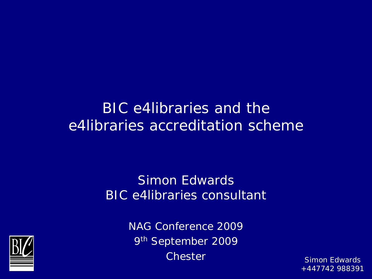#### *BIC e4libraries and the e4libraries accreditation scheme*

#### Simon Edwards BIC e4libraries consultant



NAG Conference 2009 9<sup>th</sup> September 2009 Chester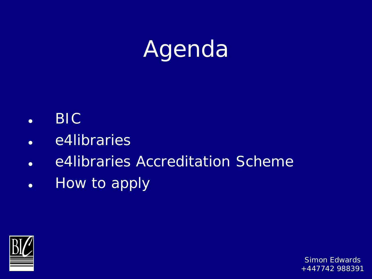# Agenda

- BIC
- e4libraries
- e4libraries Accreditation Scheme
- How to apply

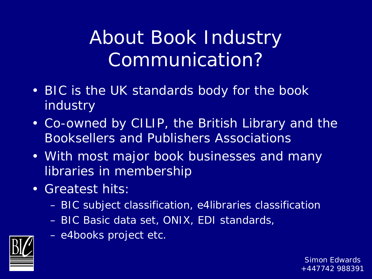#### About Book Industry Communication?

- BIC is the UK standards body for the book industry
- Co-owned by CILIP, the British Library and the Booksellers and Publishers Associations
- With most major book businesses and many libraries in membership
- Greatest hits:
	- BIC subject classification, e4libraries classification
	- BIC Basic data set, ONIX, EDI standards,
	- e4books project etc.

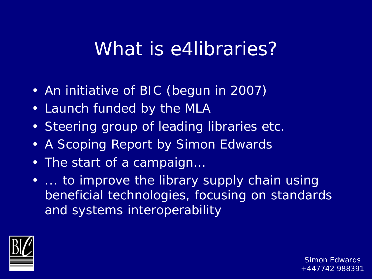#### What is e4libraries?

- An initiative of BIC (begun in 2007)
- Launch funded by the MLA
- Steering group of leading libraries etc.
- A Scoping Report by Simon Edwards
- The start of a campaign…
- ... to improve the library supply chain using beneficial technologies, focusing on standards and systems interoperability

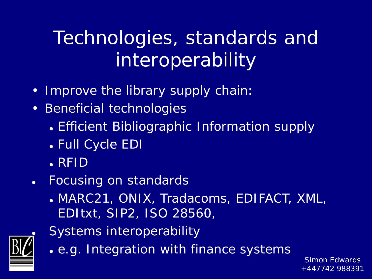#### Technologies, standards and interoperability

- Improve the library supply chain:
- Beneficial technologies
	- Efficient Bibliographic Information supply
	- Full Cycle EDI
	- . RFID
- Focusing on standards
	- MARC21, ONIX, Tradacoms, EDIFACT, XML, EDItxt, SIP2, ISO 28560,



- Systems interoperability
- e.g. Integration with finance systems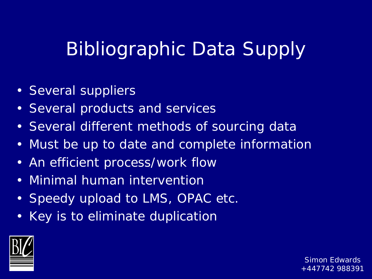#### Bibliographic Data Supply

- Several suppliers
- Several products and services
- Several different methods of sourcing data
- Must be up to date and complete information
- An efficient process/work flow
- Minimal human intervention
- Speedy upload to LMS, OPAC etc.
- Key is to eliminate duplication

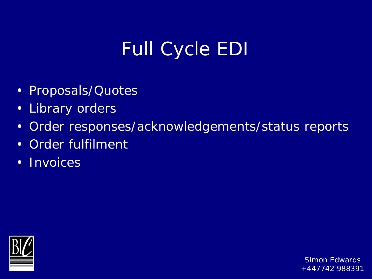## Full Cycle EDI

- Proposals/Quotes
- Library orders
- Order responses/acknowledgements/status reports
- Order fulfilment
- Invoices

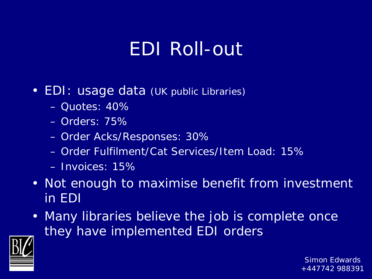#### EDI Roll-out

- EDI: usage data (UK public Libraries)
	- Quotes: 40%
	- Orders: 75%
	- Order Acks/Responses: 30%
	- Order Fulfilment/Cat Services/Item Load: 15%
	- Invoices: 15%
- Not enough to maximise benefit from investment in EDI
- Many libraries believe the job is complete once they have implemented EDI orders

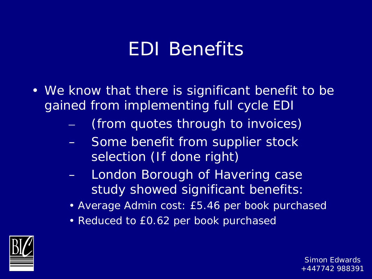#### EDI Benefits

- We know that there is significant benefit to be gained from implementing full cycle EDI
	- (from quotes through to invoices)
	- Some benefit from supplier stock selection (If done right)
	- London Borough of Havering case study showed significant benefits:
	- Average Admin cost: £5.46 per book purchased
	- Reduced to £0.62 per book purchased

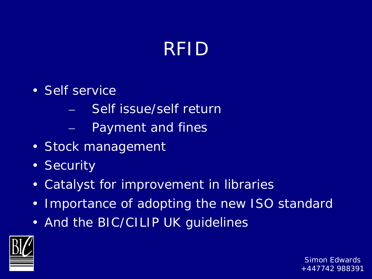#### RFID

- Self service
	- Self issue/self return
	- Payment and fines
- Stock management
- Security
- Catalyst for improvement in libraries
- Importance of adopting the new ISO standard
- And the BIC/CILIP UK guidelines

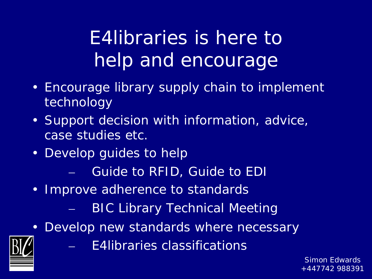## E4libraries is here to help and encourage

- Encourage library supply chain to implement technology
- Support decision with information, advice, case studies etc.
- Develop guides to help
	- Guide to RFID, Guide to EDI
- Improve adherence to standards
	- BIC Library Technical Meeting
- Develop new standards where necessary



– E4libraries classifications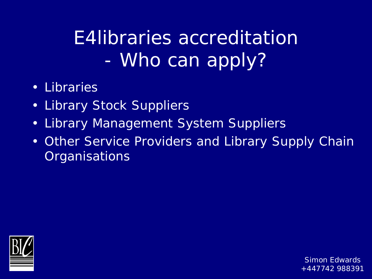#### E4libraries accreditation - Who can apply?

- Libraries
- Library Stock Suppliers
- Library Management System Suppliers
- Other Service Providers and Library Supply Chain **Organisations**

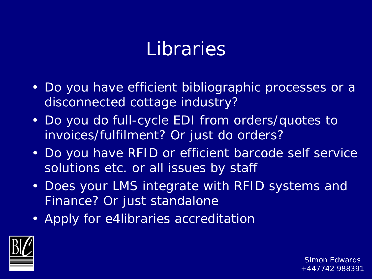#### Libraries

- Do you have efficient bibliographic processes or a disconnected cottage industry?
- Do you do full-cycle EDI from orders/quotes to invoices/fulfilment? Or just do orders?
- Do you have RFID or efficient barcode self service solutions etc. or all issues by staff
- Does your LMS integrate with RFID systems and Finance? Or just standalone
- Apply for e4libraries accreditation

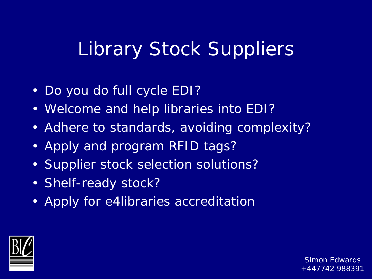#### Library Stock Suppliers

- Do you do full cycle EDI?
- Welcome and help libraries into EDI?
- Adhere to standards, avoiding complexity?
- Apply and program RFID tags?
- Supplier stock selection solutions?
- Shelf-ready stock?
- Apply for e4libraries accreditation

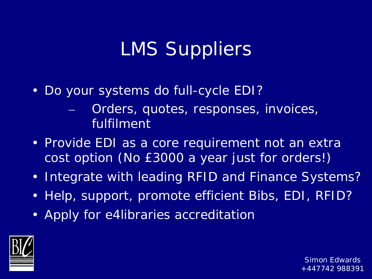#### LMS Suppliers

- Do your systems do full-cycle EDI?
	- Orders, quotes, responses, invoices, fulfilment
- Provide EDI as a core requirement not an extra cost option (No £3000 a year just for orders!)
- Integrate with leading RFID and Finance Systems?
- Help, support, promote efficient Bibs, EDI, RFID?
- Apply for e4libraries accreditation

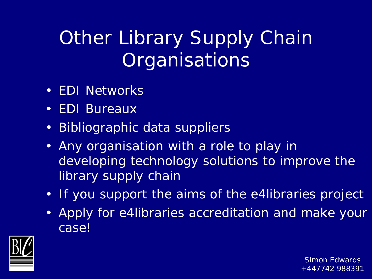## Other Library Supply Chain **Organisations**

- EDI Networks
- EDI Bureaux
- Bibliographic data suppliers
- Any organisation with a role to play in developing technology solutions to improve the library supply chain
- If you support the aims of the e4libraries project
- Apply for e4libraries accreditation and make your case!

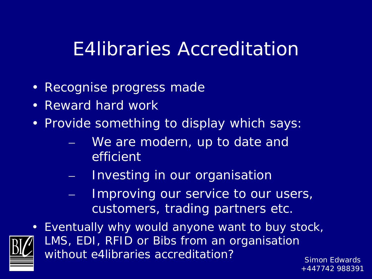#### E4libraries Accreditation

- Recognise progress made
- Reward hard work
- Provide something to display which says:
	- We are modern, up to date and efficient
	- Investing in our organisation
	- Improving our service to our users, customers, trading partners etc.



• *Eventually why would anyone want to buy stock, LMS, EDI, RFID or Bibs from an organisation without e4libraries accreditation?*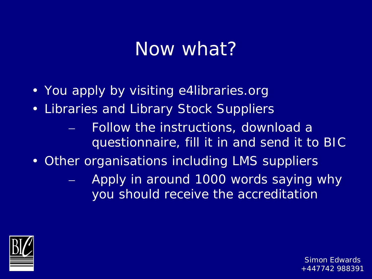#### Now what?

- You apply by visiting e4libraries.org
- Libraries and Library Stock Suppliers
	- Follow the instructions, download a questionnaire, fill it in and send it to BIC
- Other organisations including LMS suppliers
	- Apply in around 1000 words saying why you should receive the accreditation

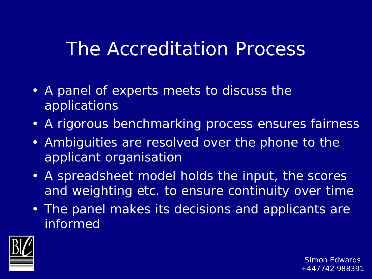#### The Accreditation Process

- A panel of experts meets to discuss the applications
- A rigorous benchmarking process ensures fairness
- Ambiguities are resolved over the phone to the applicant organisation
- A spreadsheet model holds the input, the scores and weighting etc. to ensure continuity over time
- The panel makes its decisions and applicants are informed

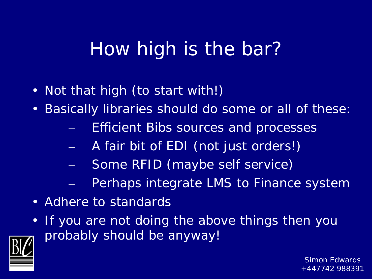#### How high is the bar?

- Not that high (to start with!)
- Basically libraries should do some or all of these:
	- Efficient Bibs sources and processes
	- A fair bit of EDI (not just orders!)
	- Some RFID (maybe self service)
	- Perhaps integrate LMS to Finance system
- Adhere to standards
- If you are not doing the above things then you probably should be anyway!

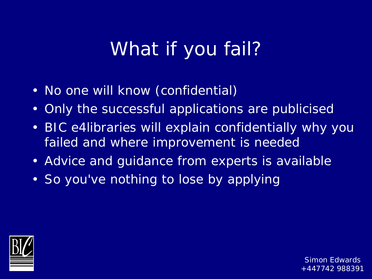#### What if you fail?

- No one will know (confidential)
- Only the successful applications are publicised
- BIC e4libraries will explain confidentially why you failed and where improvement is needed
- Advice and guidance from experts is available
- So you've nothing to lose by applying

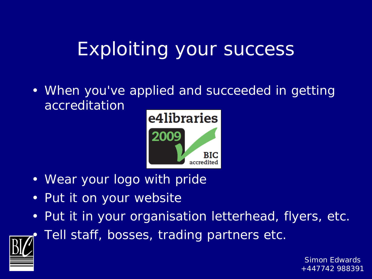#### Exploiting your success

• When you've applied and succeeded in getting accreditation



- Wear your logo with pride
- Put it on your website
- Put it in your organisation letterhead, flyers, etc.

Tell staff, bosses, trading partners etc.

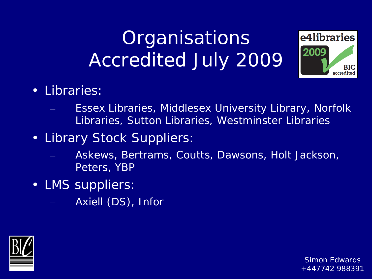#### **Organisations** Accredited July 2009



- Libraries:
	- Essex Libraries, Middlesex University Library, Norfolk Libraries, Sutton Libraries, Westminster Libraries
- Library Stock Suppliers:
	- Askews, Bertrams, Coutts, Dawsons, Holt Jackson, Peters, YBP
- LMS suppliers:
	- Axiell (DS), Infor

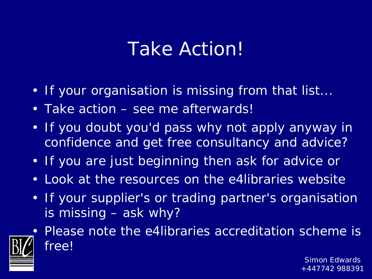#### Take Action!

- If your organisation is missing from that list...
- Take action see me afterwards!
- If you doubt you'd pass why not apply anyway in confidence and get free consultancy and advice?
- If you are just beginning then ask for advice or
- Look at the resources on the e4libraries website
- If your supplier's or trading partner's organisation is missing – ask why?



• Please note the e4libraries accreditation scheme is free!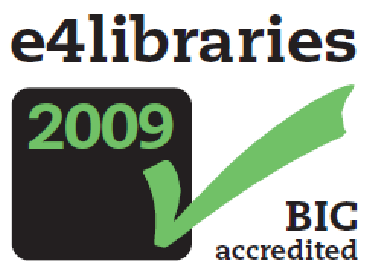

# 2009

# BIC Simon Edwards